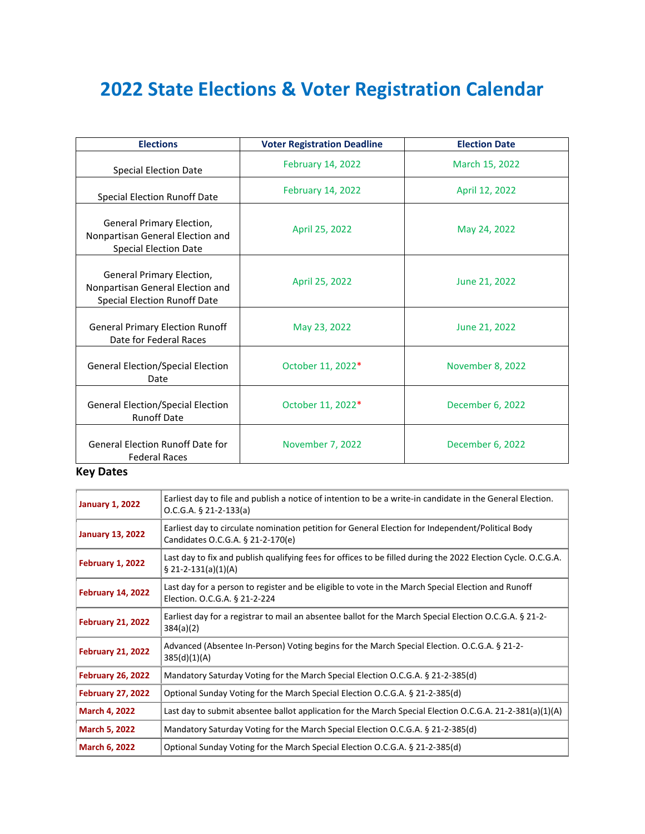## **2022 State Elections & Voter Registration Calendar**

| <b>Elections</b>                                                                                     | <b>Voter Registration Deadline</b> | <b>Election Date</b> |
|------------------------------------------------------------------------------------------------------|------------------------------------|----------------------|
| <b>Special Election Date</b>                                                                         | <b>February 14, 2022</b>           | March 15, 2022       |
| <b>Special Election Runoff Date</b>                                                                  | <b>February 14, 2022</b>           | April 12, 2022       |
| General Primary Election,<br>Nonpartisan General Election and<br><b>Special Election Date</b>        | April 25, 2022                     | May 24, 2022         |
| General Primary Election,<br>Nonpartisan General Election and<br><b>Special Election Runoff Date</b> | April 25, 2022                     | June 21, 2022        |
| <b>General Primary Election Runoff</b><br>Date for Federal Races                                     | May 23, 2022                       | June 21, 2022        |
| <b>General Election/Special Election</b><br>Date                                                     | October 11, 2022*                  | November 8, 2022     |
| <b>General Election/Special Election</b><br><b>Runoff Date</b>                                       | October 11, 2022*                  | December 6, 2022     |
| <b>General Election Runoff Date for</b><br><b>Federal Races</b>                                      | November 7, 2022                   | December 6, 2022     |

## **Key Dates**

| <b>January 1, 2022</b>   | Earliest day to file and publish a notice of intention to be a write-in candidate in the General Election.<br>$O.C.G.A. § 21-2-133(a)$  |
|--------------------------|-----------------------------------------------------------------------------------------------------------------------------------------|
| <b>January 13, 2022</b>  | Earliest day to circulate nomination petition for General Election for Independent/Political Body<br>Candidates O.C.G.A. § 21-2-170(e)  |
| February 1, 2022         | Last day to fix and publish qualifying fees for offices to be filled during the 2022 Election Cycle. O.C.G.A.<br>$\S$ 21-2-131(a)(1)(A) |
| <b>February 14, 2022</b> | Last day for a person to register and be eligible to vote in the March Special Election and Runoff<br>Election. O.C.G.A. § 21-2-224     |
| <b>February 21, 2022</b> | Earliest day for a registrar to mail an absentee ballot for the March Special Election O.C.G.A. § 21-2-<br>384(a)(2)                    |
| <b>February 21, 2022</b> | Advanced (Absentee In-Person) Voting begins for the March Special Election. O.C.G.A. § 21-2-<br>385(d)(1)(A)                            |
| <b>February 26, 2022</b> | Mandatory Saturday Voting for the March Special Election O.C.G.A. § 21-2-385(d)                                                         |
| <b>February 27, 2022</b> | Optional Sunday Voting for the March Special Election O.C.G.A. § 21-2-385(d)                                                            |
| <b>March 4, 2022</b>     | Last day to submit absentee ballot application for the March Special Election O.C.G.A. 21-2-381(a)(1)(A)                                |
| <b>March 5, 2022</b>     | Mandatory Saturday Voting for the March Special Election O.C.G.A. § 21-2-385(d)                                                         |
| March 6, 2022            | Optional Sunday Voting for the March Special Election O.C.G.A. § 21-2-385(d)                                                            |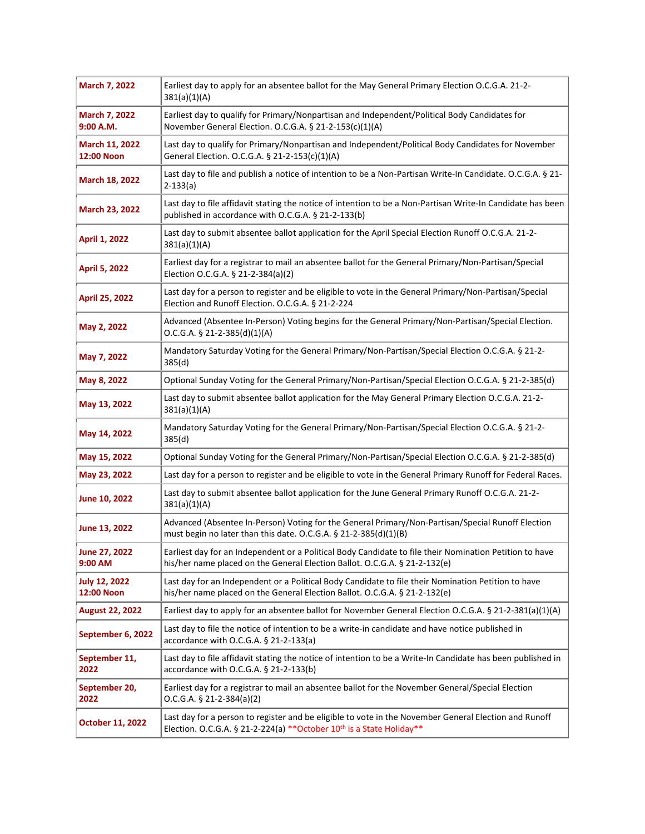| March 7, 2022                       | Earliest day to apply for an absentee ballot for the May General Primary Election O.C.G.A. 21-2-<br>381(a)(1)(A)                                                                           |
|-------------------------------------|--------------------------------------------------------------------------------------------------------------------------------------------------------------------------------------------|
| March 7, 2022<br>9:00 A.M.          | Earliest day to qualify for Primary/Nonpartisan and Independent/Political Body Candidates for<br>November General Election. O.C.G.A. § 21-2-153(c)(1)(A)                                   |
| March 11, 2022<br><b>12:00 Noon</b> | Last day to qualify for Primary/Nonpartisan and Independent/Political Body Candidates for November<br>General Election. O.C.G.A. § 21-2-153(c)(1)(A)                                       |
| March 18, 2022                      | Last day to file and publish a notice of intention to be a Non-Partisan Write-In Candidate. O.C.G.A. § 21-<br>$2 - 133(a)$                                                                 |
| March 23, 2022                      | Last day to file affidavit stating the notice of intention to be a Non-Partisan Write-In Candidate has been<br>published in accordance with O.C.G.A. § 21-2-133(b)                         |
| <b>April 1, 2022</b>                | Last day to submit absentee ballot application for the April Special Election Runoff O.C.G.A. 21-2-<br>381(a)(1)(A)                                                                        |
| April 5, 2022                       | Earliest day for a registrar to mail an absentee ballot for the General Primary/Non-Partisan/Special<br>Election O.C.G.A. § 21-2-384(a)(2)                                                 |
| April 25, 2022                      | Last day for a person to register and be eligible to vote in the General Primary/Non-Partisan/Special<br>Election and Runoff Election. O.C.G.A. § 21-2-224                                 |
| May 2, 2022                         | Advanced (Absentee In-Person) Voting begins for the General Primary/Non-Partisan/Special Election.<br>O.C.G.A. § 21-2-385(d)(1)(A)                                                         |
| May 7, 2022                         | Mandatory Saturday Voting for the General Primary/Non-Partisan/Special Election O.C.G.A. § 21-2-<br>385(d)                                                                                 |
| May 8, 2022                         | Optional Sunday Voting for the General Primary/Non-Partisan/Special Election O.C.G.A. § 21-2-385(d)                                                                                        |
| May 13, 2022                        | Last day to submit absentee ballot application for the May General Primary Election O.C.G.A. 21-2-<br>381(a)(1)(A)                                                                         |
| May 14, 2022                        | Mandatory Saturday Voting for the General Primary/Non-Partisan/Special Election O.C.G.A. § 21-2-<br>385(d)                                                                                 |
| May 15, 2022                        | Optional Sunday Voting for the General Primary/Non-Partisan/Special Election O.C.G.A. § 21-2-385(d)                                                                                        |
| May 23, 2022                        | Last day for a person to register and be eligible to vote in the General Primary Runoff for Federal Races.                                                                                 |
| June 10, 2022                       | Last day to submit absentee ballot application for the June General Primary Runoff O.C.G.A. 21-2-<br>381(a)(1)(A)                                                                          |
| June 13, 2022                       | Advanced (Absentee In-Person) Voting for the General Primary/Non-Partisan/Special Runoff Election<br>must begin no later than this date. O.C.G.A. § 21-2-385(d)(1)(B)                      |
| <b>June 27, 2022</b><br>9:00 AM     | Earliest day for an Independent or a Political Body Candidate to file their Nomination Petition to have<br>his/her name placed on the General Election Ballot. O.C.G.A. § 21-2-132(e)      |
| <b>July 12, 2022</b><br>12:00 Noon  | Last day for an Independent or a Political Body Candidate to file their Nomination Petition to have<br>his/her name placed on the General Election Ballot. O.C.G.A. § 21-2-132(e)          |
| <b>August 22, 2022</b>              | Earliest day to apply for an absentee ballot for November General Election O.C.G.A. § 21-2-381(a)(1)(A)                                                                                    |
| September 6, 2022                   | Last day to file the notice of intention to be a write-in candidate and have notice published in<br>accordance with O.C.G.A. § 21-2-133(a)                                                 |
| September 11,<br>2022               | Last day to file affidavit stating the notice of intention to be a Write-In Candidate has been published in<br>accordance with O.C.G.A. § 21-2-133(b)                                      |
| September 20,<br>2022               | Earliest day for a registrar to mail an absentee ballot for the November General/Special Election<br>$O.C.G.A. § 21-2-384(a)(2)$                                                           |
| October 11, 2022                    | Last day for a person to register and be eligible to vote in the November General Election and Runoff<br>Election. O.C.G.A. § 21-2-224(a) ** October 10 <sup>th</sup> is a State Holiday** |